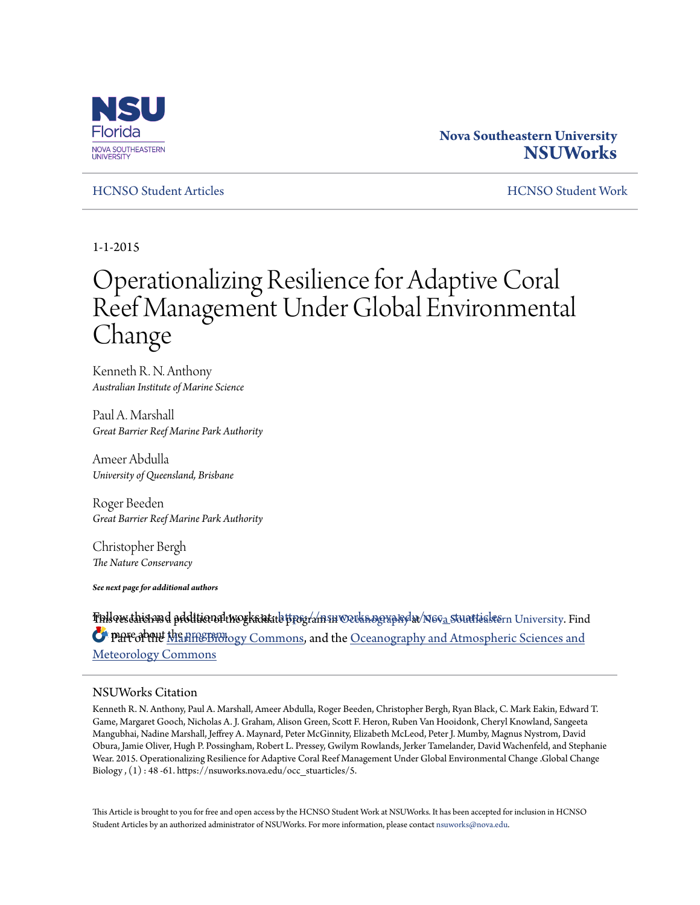

### **Nova Southeastern University [NSUWorks](https://nsuworks.nova.edu?utm_source=nsuworks.nova.edu%2Focc_stuarticles%2F5&utm_medium=PDF&utm_campaign=PDFCoverPages)**

#### [HCNSO Student Articles](https://nsuworks.nova.edu/occ_stuarticles?utm_source=nsuworks.nova.edu%2Focc_stuarticles%2F5&utm_medium=PDF&utm_campaign=PDFCoverPages) [HCNSO Student Work](https://nsuworks.nova.edu/occ_stupub?utm_source=nsuworks.nova.edu%2Focc_stuarticles%2F5&utm_medium=PDF&utm_campaign=PDFCoverPages)

1-1-2015

# Operationalizing Resilience for Adaptive Coral Reef Management Under Global Environmental Change

Kenneth R. N. Anthony *Australian Institute of Marine Science*

Paul A. Marshall *Great Barrier Reef Marine Park Authority*

Ameer Abdulla *University of Queensland, Brisbane*

Roger Beeden *Great Barrier Reef Marine Park Authority*

Christopher Bergh *The Nature Conservancy*

*See next page for additional authors*

**Fnllow this and prolitional thogkat t**ate program in Weeknography at Nov<u>a Sountlial</u> cen University. Find **OF PATE of MH THE BIOLOGY Commons, and the [Oceanography and Atmospheric Sciences and](http://network.bepress.com/hgg/discipline/186?utm_source=nsuworks.nova.edu%2Focc_stuarticles%2F5&utm_medium=PDF&utm_campaign=PDFCoverPages)** [Meteorology Commons](http://network.bepress.com/hgg/discipline/186?utm_source=nsuworks.nova.edu%2Focc_stuarticles%2F5&utm_medium=PDF&utm_campaign=PDFCoverPages)

#### NSUWorks Citation

Kenneth R. N. Anthony, Paul A. Marshall, Ameer Abdulla, Roger Beeden, Christopher Bergh, Ryan Black, C. Mark Eakin, Edward T. Game, Margaret Gooch, Nicholas A. J. Graham, Alison Green, Scott F. Heron, Ruben Van Hooidonk, Cheryl Knowland, Sangeeta Mangubhai, Nadine Marshall, Jeffrey A. Maynard, Peter McGinnity, Elizabeth McLeod, Peter J. Mumby, Magnus Nystrom, David Obura, Jamie Oliver, Hugh P. Possingham, Robert L. Pressey, Gwilym Rowlands, Jerker Tamelander, David Wachenfeld, and Stephanie Wear. 2015. Operationalizing Resilience for Adaptive Coral Reef Management Under Global Environmental Change .Global Change Biology , (1) : 48 -61. https://nsuworks.nova.edu/occ\_stuarticles/5.

This Article is brought to you for free and open access by the HCNSO Student Work at NSUWorks. It has been accepted for inclusion in HCNSO Student Articles by an authorized administrator of NSUWorks. For more information, please contact [nsuworks@nova.edu](mailto:nsuworks@nova.edu).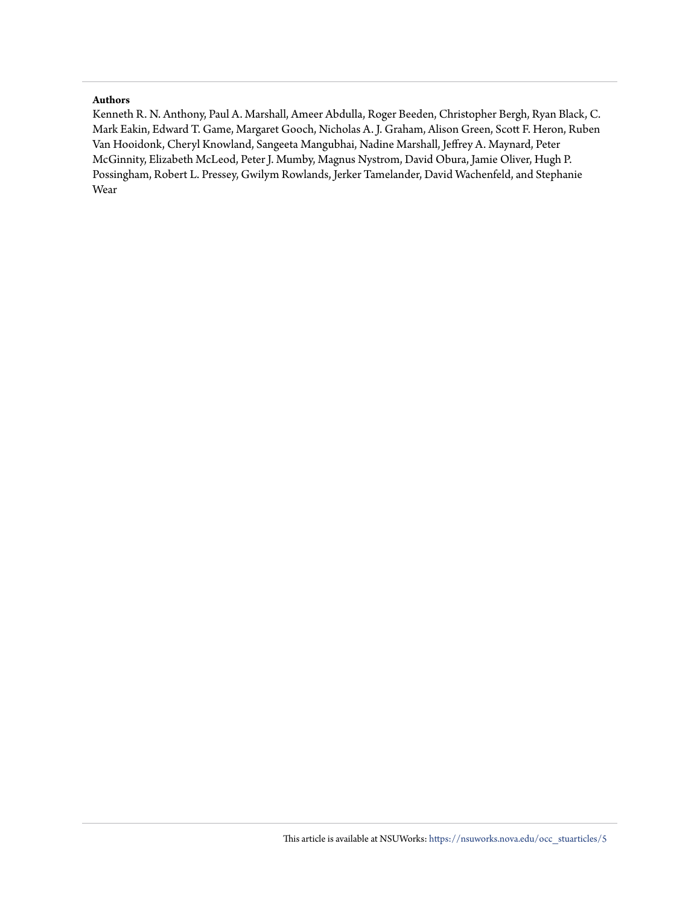#### **Authors**

Kenneth R. N. Anthony, Paul A. Marshall, Ameer Abdulla, Roger Beeden, Christopher Bergh, Ryan Black, C. Mark Eakin, Edward T. Game, Margaret Gooch, Nicholas A. J. Graham, Alison Green, Scott F. Heron, Ruben Van Hooidonk, Cheryl Knowland, Sangeeta Mangubhai, Nadine Marshall, Jeffrey A. Maynard, Peter McGinnity, Elizabeth McLeod, Peter J. Mumby, Magnus Nystrom, David Obura, Jamie Oliver, Hugh P. Possingham, Robert L. Pressey, Gwilym Rowlands, Jerker Tamelander, David Wachenfeld, and Stephanie Wear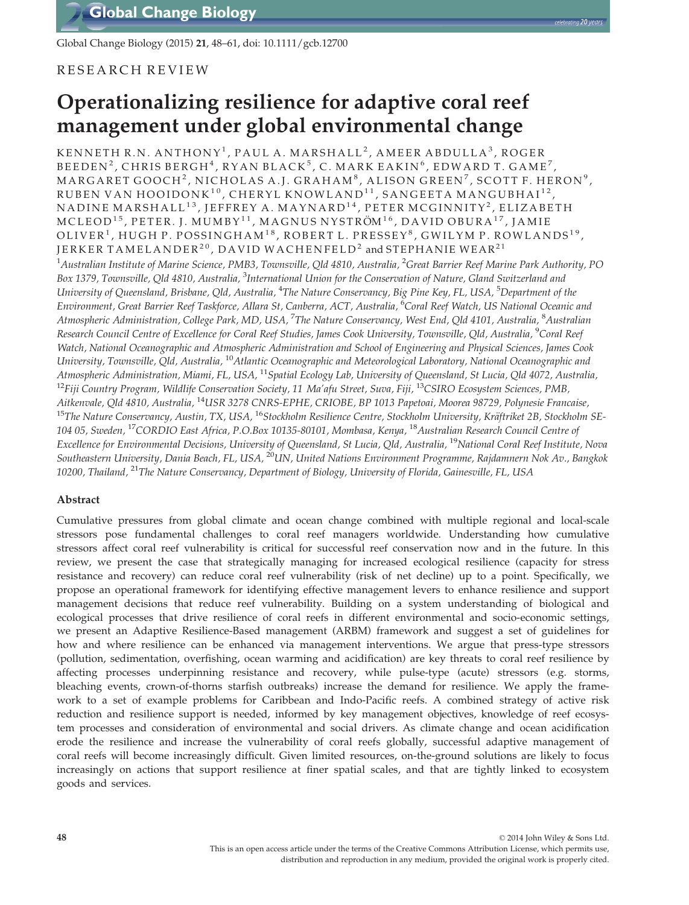Global Change Biology (2015) 21, 48–61, doi: 10.1111/gcb.12700

#### RESEARCH REVIEW

## Operationalizing resilience for adaptive coral reef management under global environmental change

#### KENNETH R.N. ANTHONY<sup>1</sup>, PAUL A. MARSHALL<sup>2</sup>, AMEER ABDULLA<sup>3</sup>, ROGER BEEDEN<sup>2</sup>, CHRIS BERGH<sup>4</sup>, RYAN BLACK<sup>5</sup>, C. MARK EAKIN<sup>6</sup>, EDWARD T. GAME<sup>7</sup>, MARGARET GOOCH<sup>2</sup>, NICHOLAS A.J. GRAHAM<sup>8</sup>, ALISON GREEN<sup>7</sup>, SCOTT F. HERON<sup>9</sup>, RUBEN VAN HOOIDONK<sup>10</sup>, CHERYL KNOWLAND<sup>11</sup>, SANGEETA MANGUBHAI<sup>12</sup>, NADINE MARSHALL<sup>13</sup>, JEFFREY A. MAYNARD<sup>14</sup>, PETER MCGINNITY<sup>2</sup>, ELIZABETH  $MCLEOD^{15}$ , PETER. J.  $MUMBY^{11}$ ,  $MAGNUS NYSTROM^{16}$ , DAVID OBURA<sup>17</sup>, JAMIE OLIVER<sup>1</sup>, HUGH P. POSSINGHAM<sup>18</sup>, ROBERT L. PRESSEY<sup>8</sup>, GWILYM P. ROWLANDS<sup>19</sup>, JERKER TAMELANDER<sup>20</sup>, DAVID WACHENFELD<sup>2</sup> and STEPHANIE WEAR<sup>21</sup>

 $^1$ Australian Institute of Marine Science, PMB3, Townsville, Qld 4810, Australia,  $^2$ Great Barrier Reef Marine Park Authority, PO Box 1379, Townsville, Qld 4810, Australia, <sup>3</sup>International Union for the Conservation of Nature, Gland Switzerland and University of Queensland, Brisbane, Qld, Australia, <sup>4</sup>The Nature Conservancy, Big Pine Key, FL, USA, <sup>5</sup>Department of the Environment, Great Barrier Reef Taskforce, Allara St, Canberra, ACT, Australia, <sup>6</sup>Coral Reef Watch, US National Oceanic and Atmospheric Administration, College Park, MD, USA, <sup>7</sup>The Nature Conservancy, West End, Qld 4101, Australia, <sup>8</sup>Australian Research Council Centre of Excellence for Coral Reef Studies, James Cook University, Townsville, Qld, Australia, <sup>9</sup>Coral Reef Watch, National Oceanographic and Atmospheric Administration and School of Engineering and Physical Sciences, James Cook University, Townsville, Old, Australia, <sup>10</sup>Atlantic Oceanographic and Meteorological Laboratory, National Oceanographic and Atmospheric Administration, Miami, FL, USA, <sup>11</sup>Spatial Ecology Lab, University of Queensland, St Lucia, Qld 4072, Australia,  $12$ Fiji Country Program, Wildlife Conservation Society, 11 Ma'afu Street, Suva, Fiji,  $13$ CSIRO Ecosystem Sciences, PMB, Aitkenvale, Qld 4810, Australia, <sup>14</sup>USR 3278 CNRS-EPHE, CRIOBE, BP 1013 Papetoai, Moorea 98729, Polynesie Francaise, <sup>15</sup>The Nature Conservancy, Austin, TX, USA, <sup>16</sup>Stockholm Resilience Centre, Stockholm University, Kräftriket 2B, Stockholm SE-104 05, Sweden, <sup>17</sup>CORDIO East Africa, P.O.Box 10135-80101, Mombasa, Kenya, <sup>18</sup>Australian Research Council Centre of Excellence for Environmental Decisions, University of Queensland, St Lucia, Qld, Australia, <sup>19</sup>National Coral Reef Institute, Nova Southeastern University, Dania Beach, FL, USA, <sup>20</sup>UN, United Nations Environment Programme, Rajdamnern Nok Av., Bangkok 10200, Thailand, <sup>21</sup>The Nature Conservancy, Department of Biology, University of Florida, Gainesville, FL, USA

#### Abstract

Cumulative pressures from global climate and ocean change combined with multiple regional and local-scale stressors pose fundamental challenges to coral reef managers worldwide. Understanding how cumulative stressors affect coral reef vulnerability is critical for successful reef conservation now and in the future. In this review, we present the case that strategically managing for increased ecological resilience (capacity for stress resistance and recovery) can reduce coral reef vulnerability (risk of net decline) up to a point. Specifically, we propose an operational framework for identifying effective management levers to enhance resilience and support management decisions that reduce reef vulnerability. Building on a system understanding of biological and ecological processes that drive resilience of coral reefs in different environmental and socio-economic settings, we present an Adaptive Resilience-Based management (ARBM) framework and suggest a set of guidelines for how and where resilience can be enhanced via management interventions. We argue that press-type stressors (pollution, sedimentation, overfishing, ocean warming and acidification) are key threats to coral reef resilience by affecting processes underpinning resistance and recovery, while pulse-type (acute) stressors (e.g. storms, bleaching events, crown-of-thorns starfish outbreaks) increase the demand for resilience. We apply the framework to a set of example problems for Caribbean and Indo-Pacific reefs. A combined strategy of active risk reduction and resilience support is needed, informed by key management objectives, knowledge of reef ecosystem processes and consideration of environmental and social drivers. As climate change and ocean acidification erode the resilience and increase the vulnerability of coral reefs globally, successful adaptive management of coral reefs will become increasingly difficult. Given limited resources, on-the-ground solutions are likely to focus increasingly on actions that support resilience at finer spatial scales, and that are tightly linked to ecosystem goods and services.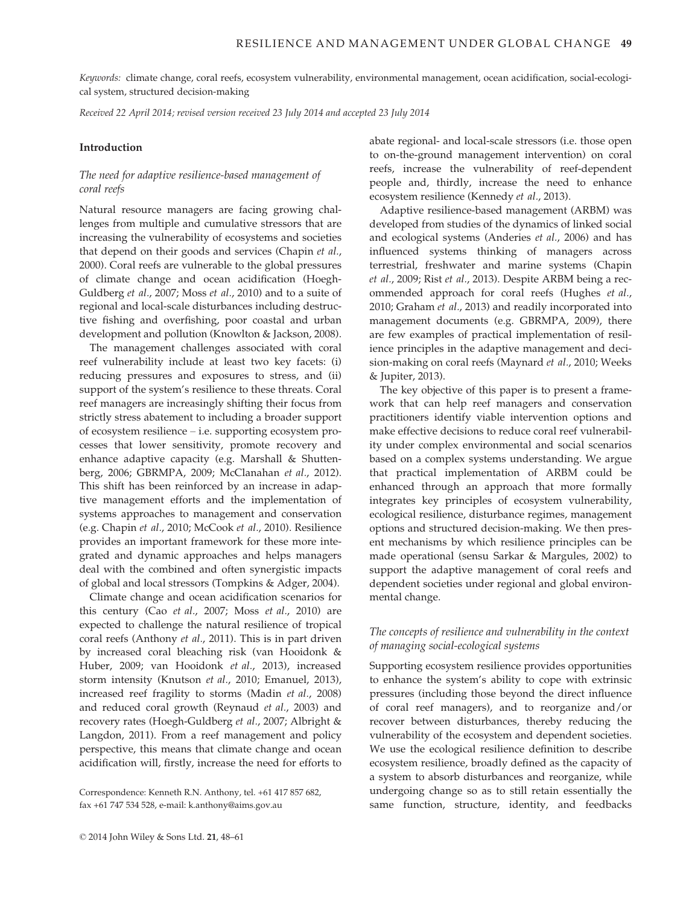Keywords: climate change, coral reefs, ecosystem vulnerability, environmental management, ocean acidification, social-ecological system, structured decision-making

Received 22 April 2014; revised version received 23 July 2014 and accepted 23 July 2014

#### Introduction

#### The need for adaptive resilience-based management of coral reefs

Natural resource managers are facing growing challenges from multiple and cumulative stressors that are increasing the vulnerability of ecosystems and societies that depend on their goods and services (Chapin et al., 2000). Coral reefs are vulnerable to the global pressures of climate change and ocean acidification (Hoegh-Guldberg et al., 2007; Moss et al., 2010) and to a suite of regional and local-scale disturbances including destructive fishing and overfishing, poor coastal and urban development and pollution (Knowlton & Jackson, 2008).

The management challenges associated with coral reef vulnerability include at least two key facets: (i) reducing pressures and exposures to stress, and (ii) support of the system's resilience to these threats. Coral reef managers are increasingly shifting their focus from strictly stress abatement to including a broader support of ecosystem resilience – i.e. supporting ecosystem processes that lower sensitivity, promote recovery and enhance adaptive capacity (e.g. Marshall & Shuttenberg, 2006; GBRMPA, 2009; McClanahan et al., 2012). This shift has been reinforced by an increase in adaptive management efforts and the implementation of systems approaches to management and conservation (e.g. Chapin et al., 2010; McCook et al., 2010). Resilience provides an important framework for these more integrated and dynamic approaches and helps managers deal with the combined and often synergistic impacts of global and local stressors (Tompkins & Adger, 2004).

Climate change and ocean acidification scenarios for this century (Cao et al., 2007; Moss et al., 2010) are expected to challenge the natural resilience of tropical coral reefs (Anthony et al., 2011). This is in part driven by increased coral bleaching risk (van Hooidonk & Huber, 2009; van Hooidonk et al., 2013), increased storm intensity (Knutson et al., 2010; Emanuel, 2013), increased reef fragility to storms (Madin et al., 2008) and reduced coral growth (Reynaud et al., 2003) and recovery rates (Hoegh-Guldberg et al., 2007; Albright & Langdon, 2011). From a reef management and policy perspective, this means that climate change and ocean acidification will, firstly, increase the need for efforts to abate regional- and local-scale stressors (i.e. those open to on-the-ground management intervention) on coral reefs, increase the vulnerability of reef-dependent people and, thirdly, increase the need to enhance ecosystem resilience (Kennedy et al., 2013).

Adaptive resilience-based management (ARBM) was developed from studies of the dynamics of linked social and ecological systems (Anderies et al., 2006) and has influenced systems thinking of managers across terrestrial, freshwater and marine systems (Chapin et al., 2009; Rist et al., 2013). Despite ARBM being a recommended approach for coral reefs (Hughes et al., 2010; Graham et al., 2013) and readily incorporated into management documents (e.g. GBRMPA, 2009), there are few examples of practical implementation of resilience principles in the adaptive management and decision-making on coral reefs (Maynard et al., 2010; Weeks & Jupiter, 2013).

The key objective of this paper is to present a framework that can help reef managers and conservation practitioners identify viable intervention options and make effective decisions to reduce coral reef vulnerability under complex environmental and social scenarios based on a complex systems understanding. We argue that practical implementation of ARBM could be enhanced through an approach that more formally integrates key principles of ecosystem vulnerability, ecological resilience, disturbance regimes, management options and structured decision-making. We then present mechanisms by which resilience principles can be made operational (sensu Sarkar & Margules, 2002) to support the adaptive management of coral reefs and dependent societies under regional and global environmental change.

#### The concepts of resilience and vulnerability in the context of managing social-ecological systems

Supporting ecosystem resilience provides opportunities to enhance the system's ability to cope with extrinsic pressures (including those beyond the direct influence of coral reef managers), and to reorganize and/or recover between disturbances, thereby reducing the vulnerability of the ecosystem and dependent societies. We use the ecological resilience definition to describe ecosystem resilience, broadly defined as the capacity of a system to absorb disturbances and reorganize, while undergoing change so as to still retain essentially the same function, structure, identity, and feedbacks

Correspondence: Kenneth R.N. Anthony, tel. +61 417 857 682, fax +61 747 534 528, e-mail: k.anthony@aims.gov.au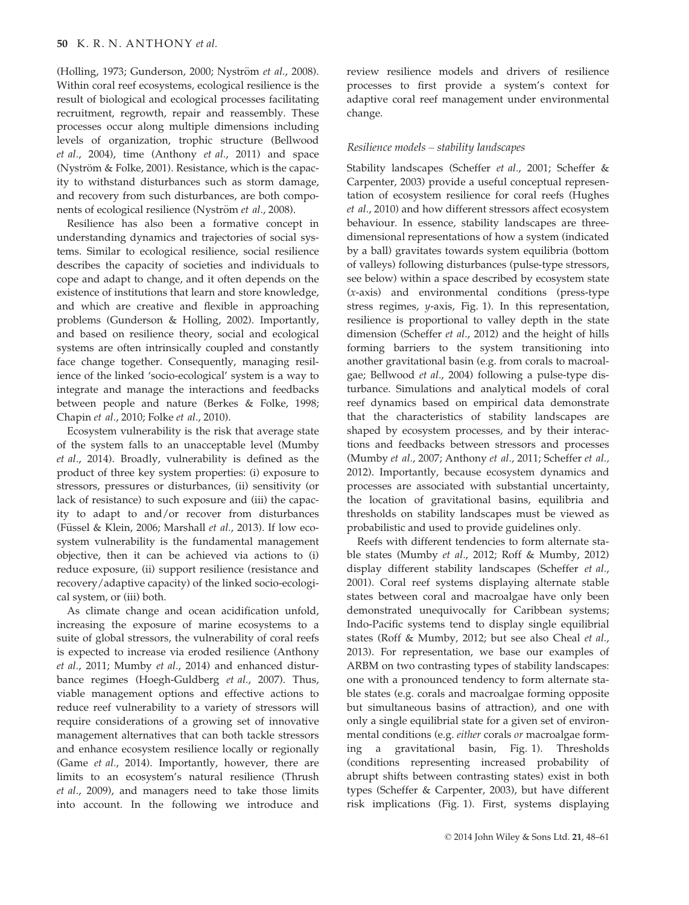(Holling, 1973; Gunderson, 2000; Nyström et al., 2008). Within coral reef ecosystems, ecological resilience is the result of biological and ecological processes facilitating recruitment, regrowth, repair and reassembly. These processes occur along multiple dimensions including levels of organization, trophic structure (Bellwood et al., 2004), time (Anthony et al., 2011) and space (Nyström & Folke, 2001). Resistance, which is the capac- $\overline{\phantom{a}}$ ity to withstand disturbances such as storm damage, and recovery from such disturbances, are both components of ecological resilience (Nyström et al., 2008).

Resilience has also been a formative concept in understanding dynamics and trajectories of social systems. Similar to ecological resilience, social resilience describes the capacity of societies and individuals to cope and adapt to change, and it often depends on the existence of institutions that learn and store knowledge, and which are creative and flexible in approaching problems (Gunderson & Holling, 2002). Importantly, and based on resilience theory, social and ecological systems are often intrinsically coupled and constantly face change together. Consequently, managing resilience of the linked 'socio-ecological' system is a way to integrate and manage the interactions and feedbacks between people and nature (Berkes & Folke, 1998; Chapin et al., 2010; Folke et al., 2010).

Ecosystem vulnerability is the risk that average state of the system falls to an unacceptable level (Mumby et al., 2014). Broadly, vulnerability is defined as the product of three key system properties: (i) exposure to stressors, pressures or disturbances, (ii) sensitivity (or lack of resistance) to such exposure and (iii) the capacity to adapt to and/or recover from disturbances (Füssel & Klein, 2006; Marshall et al., 2013). If low ecosystem vulnerability is the fundamental management objective, then it can be achieved via actions to (i) reduce exposure, (ii) support resilience (resistance and recovery/adaptive capacity) of the linked socio-ecological system, or (iii) both.

As climate change and ocean acidification unfold, increasing the exposure of marine ecosystems to a suite of global stressors, the vulnerability of coral reefs is expected to increase via eroded resilience (Anthony et al., 2011; Mumby et al., 2014) and enhanced disturbance regimes (Hoegh-Guldberg et al., 2007). Thus, viable management options and effective actions to reduce reef vulnerability to a variety of stressors will require considerations of a growing set of innovative management alternatives that can both tackle stressors and enhance ecosystem resilience locally or regionally (Game et al., 2014). Importantly, however, there are limits to an ecosystem's natural resilience (Thrush et al., 2009), and managers need to take those limits into account. In the following we introduce and review resilience models and drivers of resilience processes to first provide a system's context for adaptive coral reef management under environmental change.

#### Resilience models – stability landscapes

Stability landscapes (Scheffer et al., 2001; Scheffer & Carpenter, 2003) provide a useful conceptual representation of ecosystem resilience for coral reefs (Hughes et al., 2010) and how different stressors affect ecosystem behaviour. In essence, stability landscapes are threedimensional representations of how a system (indicated by a ball) gravitates towards system equilibria (bottom of valleys) following disturbances (pulse-type stressors, see below) within a space described by ecosystem state (x-axis) and environmental conditions (press-type stress regimes, y-axis, Fig. 1). In this representation, resilience is proportional to valley depth in the state dimension (Scheffer et al., 2012) and the height of hills forming barriers to the system transitioning into another gravitational basin (e.g. from corals to macroalgae; Bellwood et al., 2004) following a pulse-type disturbance. Simulations and analytical models of coral reef dynamics based on empirical data demonstrate that the characteristics of stability landscapes are shaped by ecosystem processes, and by their interactions and feedbacks between stressors and processes (Mumby et al., 2007; Anthony et al., 2011; Scheffer et al., 2012). Importantly, because ecosystem dynamics and processes are associated with substantial uncertainty, the location of gravitational basins, equilibria and thresholds on stability landscapes must be viewed as probabilistic and used to provide guidelines only.

Reefs with different tendencies to form alternate stable states (Mumby et al., 2012; Roff & Mumby, 2012) display different stability landscapes (Scheffer et al., 2001). Coral reef systems displaying alternate stable states between coral and macroalgae have only been demonstrated unequivocally for Caribbean systems; Indo-Pacific systems tend to display single equilibrial states (Roff & Mumby, 2012; but see also Cheal et al., 2013). For representation, we base our examples of ARBM on two contrasting types of stability landscapes: one with a pronounced tendency to form alternate stable states (e.g. corals and macroalgae forming opposite but simultaneous basins of attraction), and one with only a single equilibrial state for a given set of environmental conditions (e.g. either corals or macroalgae forming a gravitational basin, Fig. 1). Thresholds (conditions representing increased probability of abrupt shifts between contrasting states) exist in both types (Scheffer & Carpenter, 2003), but have different risk implications (Fig. 1). First, systems displaying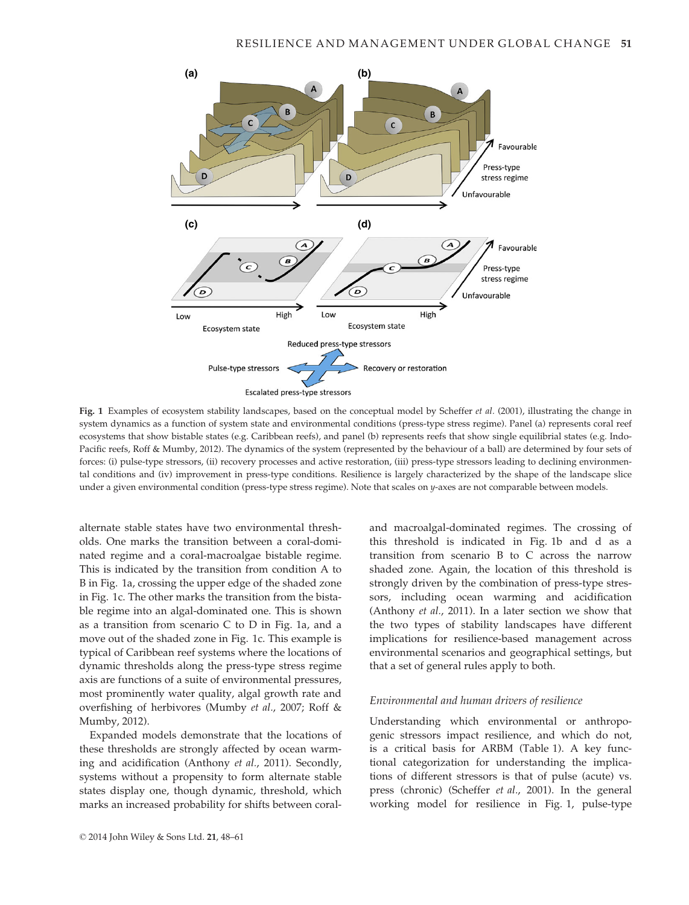

Fig. 1 Examples of ecosystem stability landscapes, based on the conceptual model by Scheffer et al. (2001), illustrating the change in system dynamics as a function of system state and environmental conditions (press-type stress regime). Panel (a) represents coral reef ecosystems that show bistable states (e.g. Caribbean reefs), and panel (b) represents reefs that show single equilibrial states (e.g. Indo-Pacific reefs, Roff & Mumby, 2012). The dynamics of the system (represented by the behaviour of a ball) are determined by four sets of forces: (i) pulse-type stressors, (ii) recovery processes and active restoration, (iii) press-type stressors leading to declining environmental conditions and (iv) improvement in press-type conditions. Resilience is largely characterized by the shape of the landscape slice under a given environmental condition (press-type stress regime). Note that scales on y-axes are not comparable between models.

alternate stable states have two environmental thresholds. One marks the transition between a coral-dominated regime and a coral-macroalgae bistable regime. This is indicated by the transition from condition A to B in Fig. 1a, crossing the upper edge of the shaded zone in Fig. 1c. The other marks the transition from the bistable regime into an algal-dominated one. This is shown as a transition from scenario C to D in Fig. 1a, and a move out of the shaded zone in Fig. 1c. This example is typical of Caribbean reef systems where the locations of dynamic thresholds along the press-type stress regime axis are functions of a suite of environmental pressures, most prominently water quality, algal growth rate and overfishing of herbivores (Mumby et al., 2007; Roff & Mumby, 2012).

Expanded models demonstrate that the locations of these thresholds are strongly affected by ocean warming and acidification (Anthony et al., 2011). Secondly, systems without a propensity to form alternate stable states display one, though dynamic, threshold, which marks an increased probability for shifts between coraland macroalgal-dominated regimes. The crossing of this threshold is indicated in Fig. 1b and d as a transition from scenario B to C across the narrow shaded zone. Again, the location of this threshold is strongly driven by the combination of press-type stressors, including ocean warming and acidification (Anthony et al., 2011). In a later section we show that the two types of stability landscapes have different implications for resilience-based management across environmental scenarios and geographical settings, but that a set of general rules apply to both.

#### Environmental and human drivers of resilience

Understanding which environmental or anthropogenic stressors impact resilience, and which do not, is a critical basis for ARBM (Table 1). A key functional categorization for understanding the implications of different stressors is that of pulse (acute) vs. press (chronic) (Scheffer et al., 2001). In the general working model for resilience in Fig. 1, pulse-type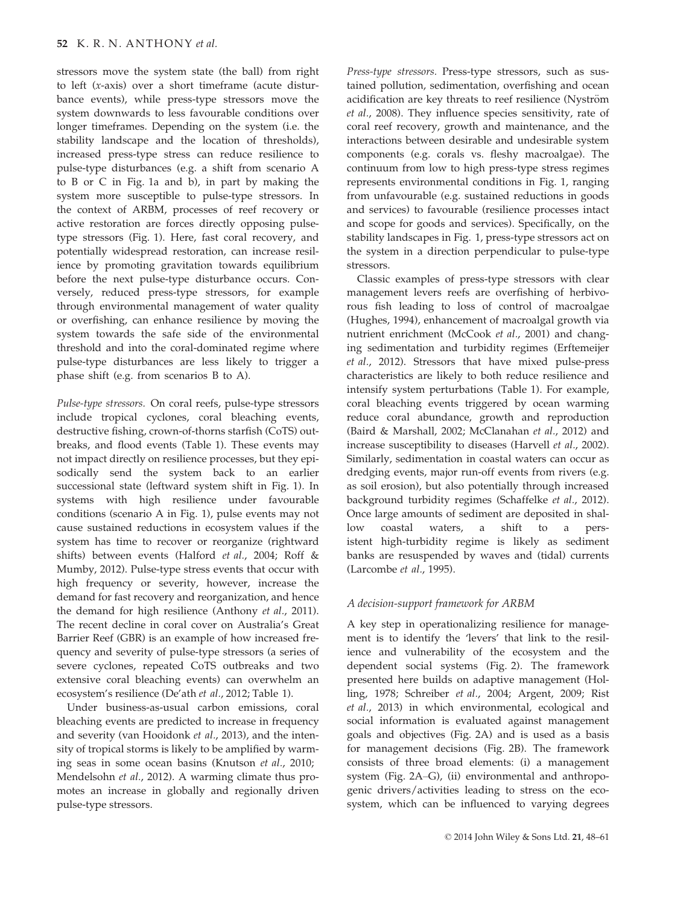stressors move the system state (the ball) from right to left (x-axis) over a short timeframe (acute disturbance events), while press-type stressors move the system downwards to less favourable conditions over longer timeframes. Depending on the system (i.e. the stability landscape and the location of thresholds), increased press-type stress can reduce resilience to pulse-type disturbances (e.g. a shift from scenario A to B or C in Fig. 1a and b), in part by making the system more susceptible to pulse-type stressors. In the context of ARBM, processes of reef recovery or active restoration are forces directly opposing pulsetype stressors (Fig. 1). Here, fast coral recovery, and potentially widespread restoration, can increase resilience by promoting gravitation towards equilibrium before the next pulse-type disturbance occurs. Conversely, reduced press-type stressors, for example through environmental management of water quality or overfishing, can enhance resilience by moving the system towards the safe side of the environmental threshold and into the coral-dominated regime where pulse-type disturbances are less likely to trigger a phase shift (e.g. from scenarios B to A).

Pulse-type stressors. On coral reefs, pulse-type stressors include tropical cyclones, coral bleaching events, destructive fishing, crown-of-thorns starfish (CoTS) outbreaks, and flood events (Table 1). These events may not impact directly on resilience processes, but they episodically send the system back to an earlier successional state (leftward system shift in Fig. 1). In systems with high resilience under favourable conditions (scenario A in Fig. 1), pulse events may not cause sustained reductions in ecosystem values if the system has time to recover or reorganize (rightward shifts) between events (Halford et al., 2004; Roff & Mumby, 2012). Pulse-type stress events that occur with high frequency or severity, however, increase the demand for fast recovery and reorganization, and hence the demand for high resilience (Anthony et al., 2011). The recent decline in coral cover on Australia's Great Barrier Reef (GBR) is an example of how increased frequency and severity of pulse-type stressors (a series of severe cyclones, repeated CoTS outbreaks and two extensive coral bleaching events) can overwhelm an ecosystem's resilience (De'ath et al., 2012; Table 1).

Under business-as-usual carbon emissions, coral bleaching events are predicted to increase in frequency and severity (van Hooidonk et al., 2013), and the intensity of tropical storms is likely to be amplified by warming seas in some ocean basins (Knutson et al., 2010; Mendelsohn et al., 2012). A warming climate thus promotes an increase in globally and regionally driven pulse-type stressors.

Press-type stressors. Press-type stressors, such as sustained pollution, sedimentation, overfishing and ocean acidification are key threats to reef resilience (Nyström et al., 2008). They influence species sensitivity, rate of coral reef recovery, growth and maintenance, and the interactions between desirable and undesirable system components (e.g. corals vs. fleshy macroalgae). The continuum from low to high press-type stress regimes represents environmental conditions in Fig. 1, ranging from unfavourable (e.g. sustained reductions in goods and services) to favourable (resilience processes intact and scope for goods and services). Specifically, on the stability landscapes in Fig. 1, press-type stressors act on the system in a direction perpendicular to pulse-type stressors.

Classic examples of press-type stressors with clear management levers reefs are overfishing of herbivorous fish leading to loss of control of macroalgae (Hughes, 1994), enhancement of macroalgal growth via nutrient enrichment (McCook et al., 2001) and changing sedimentation and turbidity regimes (Erftemeijer et al., 2012). Stressors that have mixed pulse-press characteristics are likely to both reduce resilience and intensify system perturbations (Table 1). For example, coral bleaching events triggered by ocean warming reduce coral abundance, growth and reproduction (Baird & Marshall, 2002; McClanahan et al., 2012) and increase susceptibility to diseases (Harvell et al., 2002). Similarly, sedimentation in coastal waters can occur as dredging events, major run-off events from rivers (e.g. as soil erosion), but also potentially through increased background turbidity regimes (Schaffelke et al., 2012). Once large amounts of sediment are deposited in shallow coastal waters, a shift to a persistent high-turbidity regime is likely as sediment banks are resuspended by waves and (tidal) currents (Larcombe et al., 1995).

#### A decision-support framework for ARBM

A key step in operationalizing resilience for management is to identify the 'levers' that link to the resilience and vulnerability of the ecosystem and the dependent social systems (Fig. 2). The framework presented here builds on adaptive management (Holling, 1978; Schreiber et al., 2004; Argent, 2009; Rist et al., 2013) in which environmental, ecological and social information is evaluated against management goals and objectives (Fig. 2A) and is used as a basis for management decisions (Fig. 2B). The framework consists of three broad elements: (i) a management system (Fig. 2A–G), (ii) environmental and anthropogenic drivers/activities leading to stress on the ecosystem, which can be influenced to varying degrees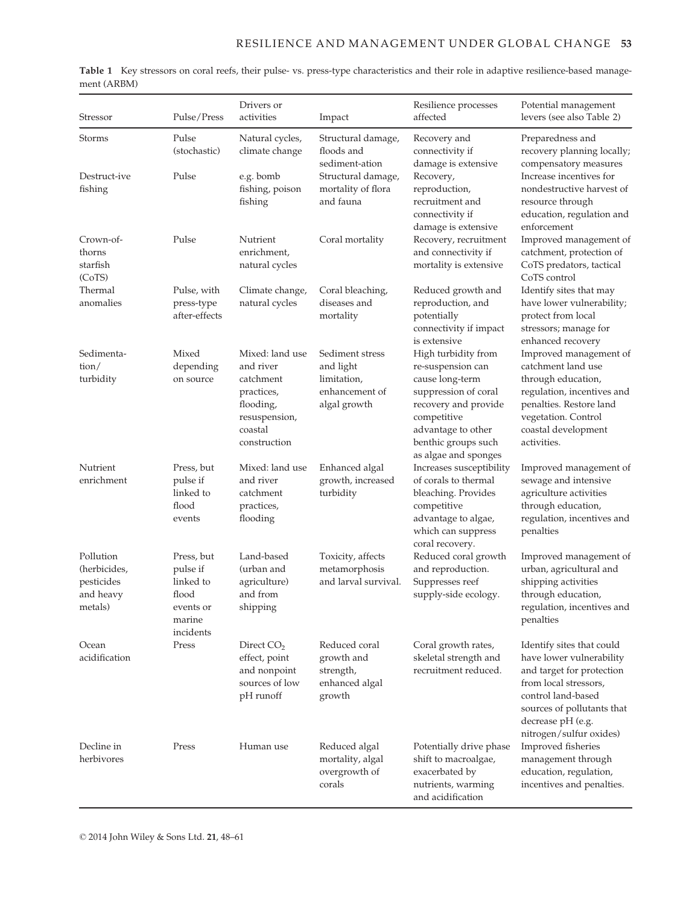| Stressor                                                        | Pulse/Press                                                                      | Drivers or<br>activities                                                                                         | Impact                                                                        | Resilience processes<br>affected                                                                                                                                                                | Potential management<br>levers (see also Table 2)                                                                                                                                                               |
|-----------------------------------------------------------------|----------------------------------------------------------------------------------|------------------------------------------------------------------------------------------------------------------|-------------------------------------------------------------------------------|-------------------------------------------------------------------------------------------------------------------------------------------------------------------------------------------------|-----------------------------------------------------------------------------------------------------------------------------------------------------------------------------------------------------------------|
| Storms                                                          | Pulse<br>(stochastic)                                                            | Natural cycles,<br>climate change                                                                                | Structural damage,<br>floods and<br>sediment-ation                            | Recovery and<br>connectivity if<br>damage is extensive                                                                                                                                          | Preparedness and<br>recovery planning locally;<br>compensatory measures                                                                                                                                         |
| Destruct-ive<br>fishing                                         | Pulse                                                                            | e.g. bomb<br>fishing, poison<br>fishing                                                                          | Structural damage,<br>mortality of flora<br>and fauna                         | Recovery,<br>reproduction,<br>recruitment and<br>connectivity if<br>damage is extensive                                                                                                         | Increase incentives for<br>nondestructive harvest of<br>resource through<br>education, regulation and<br>enforcement                                                                                            |
| Crown-of-<br>thorns<br>starfish<br>(CoTS)                       | Pulse                                                                            | Nutrient<br>enrichment,<br>natural cycles                                                                        | Coral mortality                                                               | Recovery, recruitment<br>and connectivity if<br>mortality is extensive                                                                                                                          | Improved management of<br>catchment, protection of<br>CoTS predators, tactical<br>CoTS control                                                                                                                  |
| Thermal<br>anomalies                                            | Pulse, with<br>press-type<br>after-effects                                       | Climate change,<br>natural cycles                                                                                | Coral bleaching,<br>diseases and<br>mortality                                 | Reduced growth and<br>reproduction, and<br>potentially<br>connectivity if impact<br>is extensive                                                                                                | Identify sites that may<br>have lower vulnerability;<br>protect from local<br>stressors; manage for<br>enhanced recovery                                                                                        |
| Sedimenta-<br>tion/<br>turbidity                                | Mixed<br>depending<br>on source                                                  | Mixed: land use<br>and river<br>catchment<br>practices,<br>flooding,<br>resuspension,<br>coastal<br>construction | Sediment stress<br>and light<br>limitation,<br>enhancement of<br>algal growth | High turbidity from<br>re-suspension can<br>cause long-term<br>suppression of coral<br>recovery and provide<br>competitive<br>advantage to other<br>benthic groups such<br>as algae and sponges | Improved management of<br>catchment land use<br>through education,<br>regulation, incentives and<br>penalties. Restore land<br>vegetation. Control<br>coastal development<br>activities.                        |
| Nutrient<br>enrichment                                          | Press, but<br>pulse if<br>linked to<br>flood<br>events                           | Mixed: land use<br>and river<br>catchment<br>practices,<br>flooding                                              | Enhanced algal<br>growth, increased<br>turbidity                              | Increases susceptibility<br>of corals to thermal<br>bleaching. Provides<br>competitive<br>advantage to algae,<br>which can suppress<br>coral recovery.                                          | Improved management of<br>sewage and intensive<br>agriculture activities<br>through education,<br>regulation, incentives and<br>penalties                                                                       |
| Pollution<br>(herbicides,<br>pesticides<br>and heavy<br>metals) | Press, but<br>pulse if<br>linked to<br>flood<br>events or<br>marine<br>incidents | Land-based<br>(urban and<br>agriculture)<br>and from<br>shipping                                                 | Toxicity, affects<br>metamorphosis<br>and larval survival.                    | Reduced coral growth<br>and reproduction.<br>Suppresses reef<br>supply-side ecology.                                                                                                            | Improved management of<br>urban, agricultural and<br>shipping activities<br>through education,<br>regulation, incentives and<br>penalties                                                                       |
| Ocean<br>acidification                                          | Press                                                                            | Direct $CO2$<br>effect, point<br>and nonpoint<br>sources of low<br>pH runoff                                     | Reduced coral<br>growth and<br>strength,<br>enhanced algal<br>growth          | Coral growth rates,<br>skeletal strength and<br>recruitment reduced.                                                                                                                            | Identify sites that could<br>have lower vulnerability<br>and target for protection<br>from local stressors,<br>control land-based<br>sources of pollutants that<br>decrease pH (e.g.<br>nitrogen/sulfur oxides) |
| Decline in<br>herbivores                                        | Press                                                                            | Human use                                                                                                        | Reduced algal<br>mortality, algal<br>overgrowth of<br>corals                  | Potentially drive phase<br>shift to macroalgae,<br>exacerbated by<br>nutrients, warming<br>and acidification                                                                                    | Improved fisheries<br>management through<br>education, regulation,<br>incentives and penalties.                                                                                                                 |

Table 1 Key stressors on coral reefs, their pulse- vs. press-type characteristics and their role in adaptive resilience-based management (ARBM)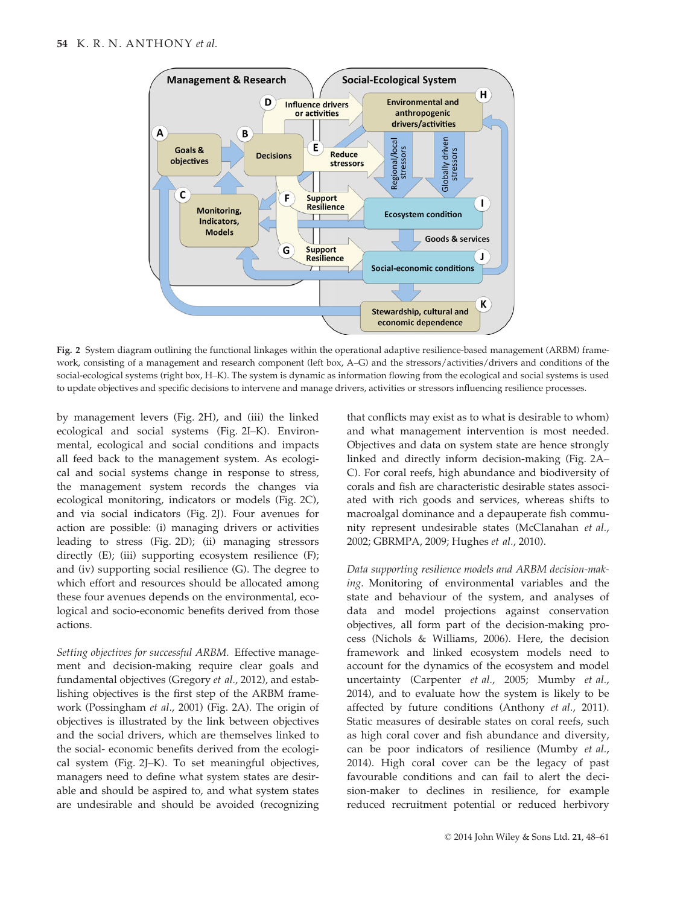

Fig. 2 System diagram outlining the functional linkages within the operational adaptive resilience-based management (ARBM) framework, consisting of a management and research component (left box, A–G) and the stressors/activities/drivers and conditions of the social-ecological systems (right box, H–K). The system is dynamic as information flowing from the ecological and social systems is used to update objectives and specific decisions to intervene and manage drivers, activities or stressors influencing resilience processes.

by management levers (Fig. 2H), and (iii) the linked ecological and social systems (Fig. 2I–K). Environmental, ecological and social conditions and impacts all feed back to the management system. As ecological and social systems change in response to stress, the management system records the changes via ecological monitoring, indicators or models (Fig. 2C), and via social indicators (Fig. 2J). Four avenues for action are possible: (i) managing drivers or activities leading to stress (Fig. 2D); (ii) managing stressors directly (E); (iii) supporting ecosystem resilience (F); and (iv) supporting social resilience (G). The degree to which effort and resources should be allocated among these four avenues depends on the environmental, ecological and socio-economic benefits derived from those actions.

Setting objectives for successful ARBM. Effective management and decision-making require clear goals and fundamental objectives (Gregory et al., 2012), and establishing objectives is the first step of the ARBM framework (Possingham et al., 2001) (Fig. 2A). The origin of objectives is illustrated by the link between objectives and the social drivers, which are themselves linked to the social- economic benefits derived from the ecological system (Fig. 2J–K). To set meaningful objectives, managers need to define what system states are desirable and should be aspired to, and what system states are undesirable and should be avoided (recognizing that conflicts may exist as to what is desirable to whom) and what management intervention is most needed. Objectives and data on system state are hence strongly linked and directly inform decision-making (Fig. 2A– C). For coral reefs, high abundance and biodiversity of corals and fish are characteristic desirable states associated with rich goods and services, whereas shifts to macroalgal dominance and a depauperate fish community represent undesirable states (McClanahan et al., 2002; GBRMPA, 2009; Hughes et al., 2010).

Data supporting resilience models and ARBM decision-making. Monitoring of environmental variables and the state and behaviour of the system, and analyses of data and model projections against conservation objectives, all form part of the decision-making process (Nichols & Williams, 2006). Here, the decision framework and linked ecosystem models need to account for the dynamics of the ecosystem and model uncertainty (Carpenter et al., 2005; Mumby et al., 2014), and to evaluate how the system is likely to be affected by future conditions (Anthony et al., 2011). Static measures of desirable states on coral reefs, such as high coral cover and fish abundance and diversity, can be poor indicators of resilience (Mumby et al., 2014). High coral cover can be the legacy of past favourable conditions and can fail to alert the decision-maker to declines in resilience, for example reduced recruitment potential or reduced herbivory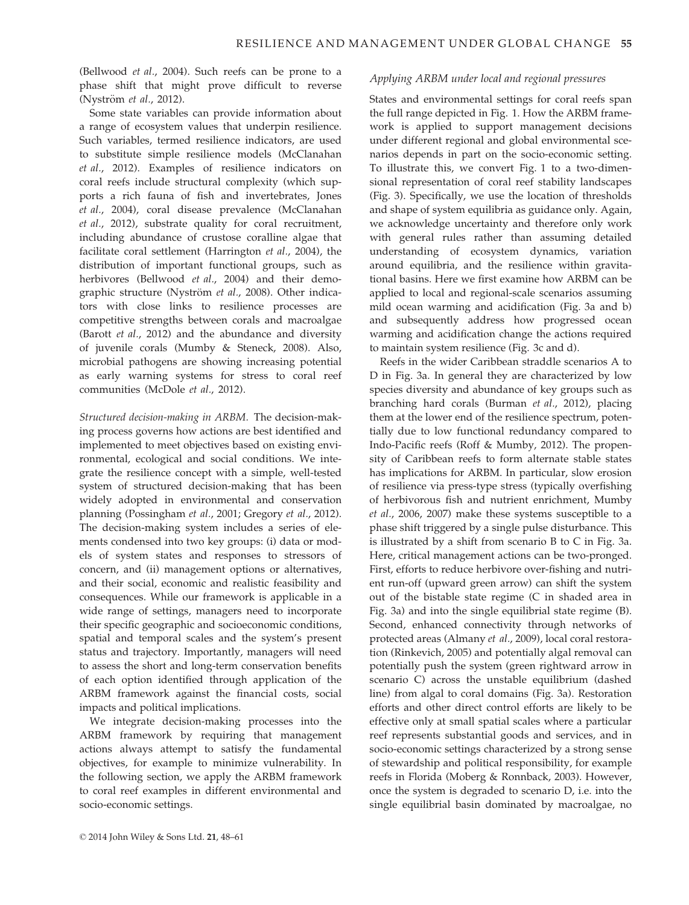(Bellwood et al., 2004). Such reefs can be prone to a phase shift that might prove difficult to reverse (Nyström et al., 2012).

Some state variables can provide information about a range of ecosystem values that underpin resilience. Such variables, termed resilience indicators, are used to substitute simple resilience models (McClanahan et al., 2012). Examples of resilience indicators on coral reefs include structural complexity (which supports a rich fauna of fish and invertebrates, Jones et al., 2004), coral disease prevalence (McClanahan et al., 2012), substrate quality for coral recruitment, including abundance of crustose coralline algae that facilitate coral settlement (Harrington et al., 2004), the distribution of important functional groups, such as herbivores (Bellwood et al., 2004) and their demographic structure (Nyström et al., 2008). Other indicators with close links to resilience processes are competitive strengths between corals and macroalgae (Barott et al., 2012) and the abundance and diversity of juvenile corals (Mumby & Steneck, 2008). Also, microbial pathogens are showing increasing potential as early warning systems for stress to coral reef communities (McDole et al., 2012).

Structured decision-making in ARBM. The decision-making process governs how actions are best identified and implemented to meet objectives based on existing environmental, ecological and social conditions. We integrate the resilience concept with a simple, well-tested system of structured decision-making that has been widely adopted in environmental and conservation planning (Possingham et al., 2001; Gregory et al., 2012). The decision-making system includes a series of elements condensed into two key groups: (i) data or models of system states and responses to stressors of concern, and (ii) management options or alternatives, and their social, economic and realistic feasibility and consequences. While our framework is applicable in a wide range of settings, managers need to incorporate their specific geographic and socioeconomic conditions, spatial and temporal scales and the system's present status and trajectory. Importantly, managers will need to assess the short and long-term conservation benefits of each option identified through application of the ARBM framework against the financial costs, social impacts and political implications.

We integrate decision-making processes into the ARBM framework by requiring that management actions always attempt to satisfy the fundamental objectives, for example to minimize vulnerability. In the following section, we apply the ARBM framework to coral reef examples in different environmental and socio-economic settings.

#### Applying ARBM under local and regional pressures

States and environmental settings for coral reefs span the full range depicted in Fig. 1. How the ARBM framework is applied to support management decisions under different regional and global environmental scenarios depends in part on the socio-economic setting. To illustrate this, we convert Fig. 1 to a two-dimensional representation of coral reef stability landscapes (Fig. 3). Specifically, we use the location of thresholds and shape of system equilibria as guidance only. Again, we acknowledge uncertainty and therefore only work with general rules rather than assuming detailed understanding of ecosystem dynamics, variation around equilibria, and the resilience within gravitational basins. Here we first examine how ARBM can be applied to local and regional-scale scenarios assuming mild ocean warming and acidification (Fig. 3a and b) and subsequently address how progressed ocean warming and acidification change the actions required to maintain system resilience (Fig. 3c and d).

Reefs in the wider Caribbean straddle scenarios A to D in Fig. 3a. In general they are characterized by low species diversity and abundance of key groups such as branching hard corals (Burman et al., 2012), placing them at the lower end of the resilience spectrum, potentially due to low functional redundancy compared to Indo-Pacific reefs (Roff & Mumby, 2012). The propensity of Caribbean reefs to form alternate stable states has implications for ARBM. In particular, slow erosion of resilience via press-type stress (typically overfishing of herbivorous fish and nutrient enrichment, Mumby et al., 2006, 2007) make these systems susceptible to a phase shift triggered by a single pulse disturbance. This is illustrated by a shift from scenario B to C in Fig. 3a. Here, critical management actions can be two-pronged. First, efforts to reduce herbivore over-fishing and nutrient run-off (upward green arrow) can shift the system out of the bistable state regime (C in shaded area in Fig. 3a) and into the single equilibrial state regime (B). Second, enhanced connectivity through networks of protected areas (Almany et al., 2009), local coral restoration (Rinkevich, 2005) and potentially algal removal can potentially push the system (green rightward arrow in scenario C) across the unstable equilibrium (dashed line) from algal to coral domains (Fig. 3a). Restoration efforts and other direct control efforts are likely to be effective only at small spatial scales where a particular reef represents substantial goods and services, and in socio-economic settings characterized by a strong sense of stewardship and political responsibility, for example reefs in Florida (Moberg & Ronnback, 2003). However, once the system is degraded to scenario D, i.e. into the single equilibrial basin dominated by macroalgae, no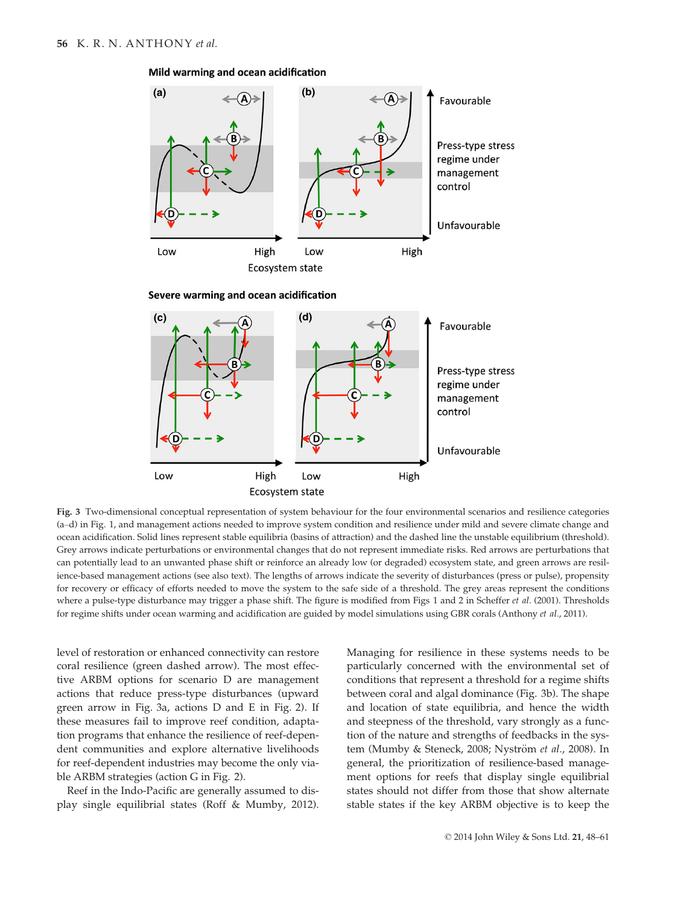



Severe warming and ocean acidification



Fig. 3 Two-dimensional conceptual representation of system behaviour for the four environmental scenarios and resilience categories (a–d) in Fig. 1, and management actions needed to improve system condition and resilience under mild and severe climate change and ocean acidification. Solid lines represent stable equilibria (basins of attraction) and the dashed line the unstable equilibrium (threshold). Grey arrows indicate perturbations or environmental changes that do not represent immediate risks. Red arrows are perturbations that can potentially lead to an unwanted phase shift or reinforce an already low (or degraded) ecosystem state, and green arrows are resilience-based management actions (see also text). The lengths of arrows indicate the severity of disturbances (press or pulse), propensity for recovery or efficacy of efforts needed to move the system to the safe side of a threshold. The grey areas represent the conditions where a pulse-type disturbance may trigger a phase shift. The figure is modified from Figs 1 and 2 in Scheffer et al. (2001). Thresholds for regime shifts under ocean warming and acidification are guided by model simulations using GBR corals (Anthony et al., 2011).

level of restoration or enhanced connectivity can restore coral resilience (green dashed arrow). The most effective ARBM options for scenario D are management actions that reduce press-type disturbances (upward green arrow in Fig. 3a, actions D and E in Fig. 2). If these measures fail to improve reef condition, adaptation programs that enhance the resilience of reef-dependent communities and explore alternative livelihoods for reef-dependent industries may become the only viable ARBM strategies (action G in Fig. 2).

Reef in the Indo-Pacific are generally assumed to display single equilibrial states (Roff & Mumby, 2012). Managing for resilience in these systems needs to be particularly concerned with the environmental set of conditions that represent a threshold for a regime shifts between coral and algal dominance (Fig. 3b). The shape and location of state equilibria, and hence the width and steepness of the threshold, vary strongly as a function of the nature and strengths of feedbacks in the system (Mumby & Steneck, 2008; Nyström et al., 2008). In general, the prioritization of resilience-based management options for reefs that display single equilibrial states should not differ from those that show alternate stable states if the key ARBM objective is to keep the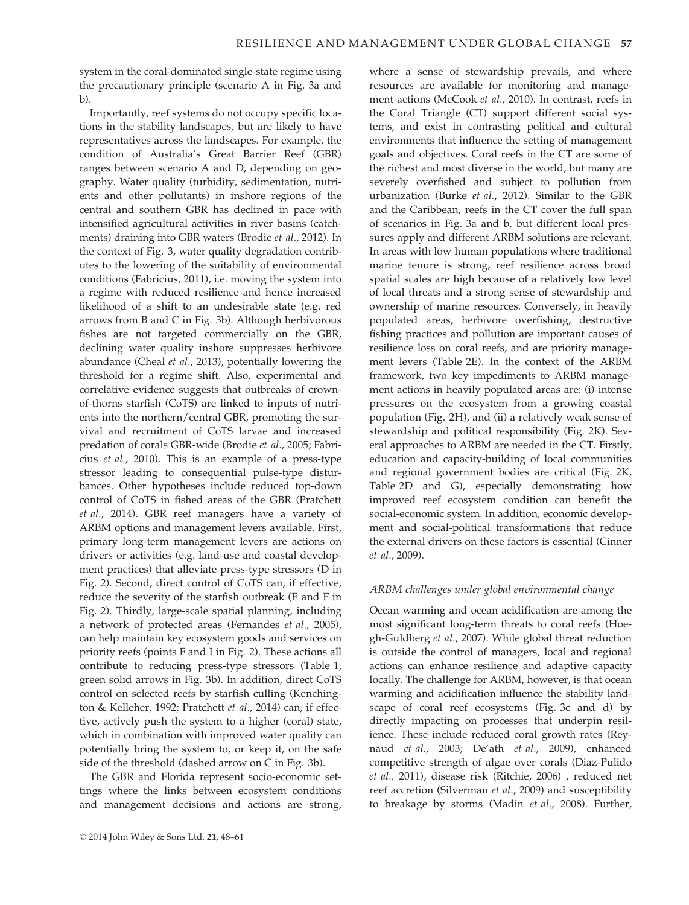system in the coral-dominated single-state regime using the precautionary principle (scenario A in Fig. 3a and b).

Importantly, reef systems do not occupy specific locations in the stability landscapes, but are likely to have representatives across the landscapes. For example, the condition of Australia's Great Barrier Reef (GBR) ranges between scenario A and D, depending on geography. Water quality (turbidity, sedimentation, nutrients and other pollutants) in inshore regions of the central and southern GBR has declined in pace with intensified agricultural activities in river basins (catchments) draining into GBR waters (Brodie et al., 2012). In the context of Fig. 3, water quality degradation contributes to the lowering of the suitability of environmental conditions (Fabricius, 2011), i.e. moving the system into a regime with reduced resilience and hence increased likelihood of a shift to an undesirable state (e.g. red arrows from B and C in Fig. 3b). Although herbivorous fishes are not targeted commercially on the GBR, declining water quality inshore suppresses herbivore abundance (Cheal et al., 2013), potentially lowering the threshold for a regime shift. Also, experimental and correlative evidence suggests that outbreaks of crownof-thorns starfish (CoTS) are linked to inputs of nutrients into the northern/central GBR, promoting the survival and recruitment of CoTS larvae and increased predation of corals GBR-wide (Brodie et al., 2005; Fabricius et al., 2010). This is an example of a press-type stressor leading to consequential pulse-type disturbances. Other hypotheses include reduced top-down control of CoTS in fished areas of the GBR (Pratchett et al., 2014). GBR reef managers have a variety of ARBM options and management levers available. First, primary long-term management levers are actions on drivers or activities (e.g. land-use and coastal development practices) that alleviate press-type stressors (D in Fig. 2). Second, direct control of CoTS can, if effective, reduce the severity of the starfish outbreak (E and F in Fig. 2). Thirdly, large-scale spatial planning, including a network of protected areas (Fernandes et al., 2005), can help maintain key ecosystem goods and services on priority reefs (points F and I in Fig. 2). These actions all contribute to reducing press-type stressors (Table 1, green solid arrows in Fig. 3b). In addition, direct CoTS control on selected reefs by starfish culling (Kenchington & Kelleher, 1992; Pratchett et al., 2014) can, if effective, actively push the system to a higher (coral) state, which in combination with improved water quality can potentially bring the system to, or keep it, on the safe side of the threshold (dashed arrow on C in Fig. 3b).

The GBR and Florida represent socio-economic settings where the links between ecosystem conditions and management decisions and actions are strong,

where a sense of stewardship prevails, and where resources are available for monitoring and management actions (McCook et al., 2010). In contrast, reefs in the Coral Triangle (CT) support different social systems, and exist in contrasting political and cultural environments that influence the setting of management goals and objectives. Coral reefs in the CT are some of the richest and most diverse in the world, but many are severely overfished and subject to pollution from urbanization (Burke et al., 2012). Similar to the GBR and the Caribbean, reefs in the CT cover the full span of scenarios in Fig. 3a and b, but different local pressures apply and different ARBM solutions are relevant. In areas with low human populations where traditional marine tenure is strong, reef resilience across broad spatial scales are high because of a relatively low level of local threats and a strong sense of stewardship and ownership of marine resources. Conversely, in heavily populated areas, herbivore overfishing, destructive fishing practices and pollution are important causes of resilience loss on coral reefs, and are priority management levers (Table 2E). In the context of the ARBM framework, two key impediments to ARBM management actions in heavily populated areas are: (i) intense pressures on the ecosystem from a growing coastal population (Fig. 2H), and (ii) a relatively weak sense of stewardship and political responsibility (Fig. 2K). Several approaches to ARBM are needed in the CT. Firstly, education and capacity-building of local communities and regional government bodies are critical (Fig. 2K, Table 2D and G), especially demonstrating how improved reef ecosystem condition can benefit the social-economic system. In addition, economic development and social-political transformations that reduce the external drivers on these factors is essential (Cinner et al., 2009).

#### ARBM challenges under global environmental change

Ocean warming and ocean acidification are among the most significant long-term threats to coral reefs (Hoegh-Guldberg et al., 2007). While global threat reduction is outside the control of managers, local and regional actions can enhance resilience and adaptive capacity locally. The challenge for ARBM, however, is that ocean warming and acidification influence the stability landscape of coral reef ecosystems (Fig. 3c and d) by directly impacting on processes that underpin resilience. These include reduced coral growth rates (Reynaud et al., 2003; De'ath et al., 2009), enhanced competitive strength of algae over corals (Diaz-Pulido et al., 2011), disease risk (Ritchie, 2006) , reduced net reef accretion (Silverman et al., 2009) and susceptibility to breakage by storms (Madin et al., 2008). Further,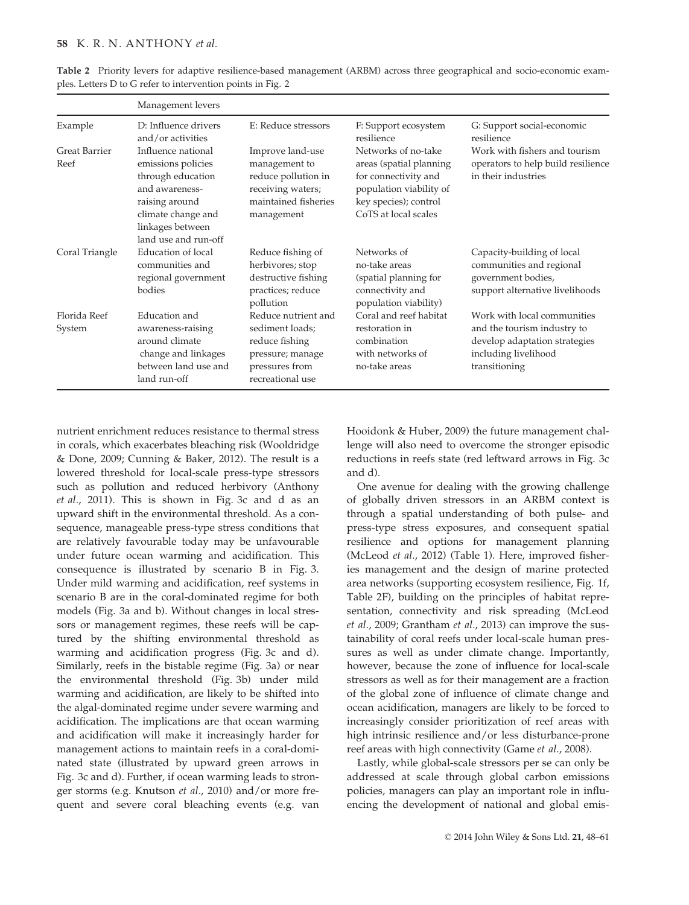|                        | Management levers                                                                                                                                                   |                                                                                                                     |                                                                                                                                                    |                                                                                                                                      |
|------------------------|---------------------------------------------------------------------------------------------------------------------------------------------------------------------|---------------------------------------------------------------------------------------------------------------------|----------------------------------------------------------------------------------------------------------------------------------------------------|--------------------------------------------------------------------------------------------------------------------------------------|
| Example                | D: Influence drivers<br>and/or activities                                                                                                                           | E: Reduce stressors                                                                                                 | F: Support ecosystem<br>resilience                                                                                                                 | G: Support social-economic<br>resilience                                                                                             |
| Great Barrier<br>Reef  | Influence national<br>emissions policies<br>through education<br>and awareness-<br>raising around<br>climate change and<br>linkages between<br>land use and run-off | Improve land-use<br>management to<br>reduce pollution in<br>receiving waters;<br>maintained fisheries<br>management | Networks of no-take<br>areas (spatial planning<br>for connectivity and<br>population viability of<br>key species); control<br>CoTS at local scales | Work with fishers and tourism<br>operators to help build resilience<br>in their industries                                           |
| Coral Triangle         | Education of local<br>communities and<br>regional government<br>bodies                                                                                              | Reduce fishing of<br>herbivores; stop<br>destructive fishing<br>practices; reduce<br>pollution                      | Networks of<br>no-take areas<br>(spatial planning for<br>connectivity and<br>population viability)                                                 | Capacity-building of local<br>communities and regional<br>government bodies,<br>support alternative livelihoods                      |
| Florida Reef<br>System | Education and<br>awareness-raising<br>around climate<br>change and linkages<br>between land use and<br>land run-off                                                 | Reduce nutrient and<br>sediment loads;<br>reduce fishing<br>pressure; manage<br>pressures from<br>recreational use  | Coral and reef habitat<br>restoration in<br>combination<br>with networks of<br>no-take areas                                                       | Work with local communities<br>and the tourism industry to<br>develop adaptation strategies<br>including livelihood<br>transitioning |

Table 2 Priority levers for adaptive resilience-based management (ARBM) across three geographical and socio-economic examples. Letters D to G refer to intervention points in Fig. 2

nutrient enrichment reduces resistance to thermal stress in corals, which exacerbates bleaching risk (Wooldridge & Done, 2009; Cunning & Baker, 2012). The result is a lowered threshold for local-scale press-type stressors such as pollution and reduced herbivory (Anthony et al., 2011). This is shown in Fig. 3c and d as an upward shift in the environmental threshold. As a consequence, manageable press-type stress conditions that are relatively favourable today may be unfavourable under future ocean warming and acidification. This consequence is illustrated by scenario B in Fig. 3. Under mild warming and acidification, reef systems in scenario B are in the coral-dominated regime for both models (Fig. 3a and b). Without changes in local stressors or management regimes, these reefs will be captured by the shifting environmental threshold as warming and acidification progress (Fig. 3c and d). Similarly, reefs in the bistable regime (Fig. 3a) or near the environmental threshold (Fig. 3b) under mild warming and acidification, are likely to be shifted into the algal-dominated regime under severe warming and acidification. The implications are that ocean warming and acidification will make it increasingly harder for management actions to maintain reefs in a coral-dominated state (illustrated by upward green arrows in Fig. 3c and d). Further, if ocean warming leads to stronger storms (e.g. Knutson et al., 2010) and/or more frequent and severe coral bleaching events (e.g. van Hooidonk & Huber, 2009) the future management challenge will also need to overcome the stronger episodic reductions in reefs state (red leftward arrows in Fig. 3c and d).

One avenue for dealing with the growing challenge of globally driven stressors in an ARBM context is through a spatial understanding of both pulse- and press-type stress exposures, and consequent spatial resilience and options for management planning (McLeod et al., 2012) (Table 1). Here, improved fisheries management and the design of marine protected area networks (supporting ecosystem resilience, Fig. 1f, Table 2F), building on the principles of habitat representation, connectivity and risk spreading (McLeod et al., 2009; Grantham et al., 2013) can improve the sustainability of coral reefs under local-scale human pressures as well as under climate change. Importantly, however, because the zone of influence for local-scale stressors as well as for their management are a fraction of the global zone of influence of climate change and ocean acidification, managers are likely to be forced to increasingly consider prioritization of reef areas with high intrinsic resilience and/or less disturbance-prone reef areas with high connectivity (Game et al., 2008).

Lastly, while global-scale stressors per se can only be addressed at scale through global carbon emissions policies, managers can play an important role in influencing the development of national and global emis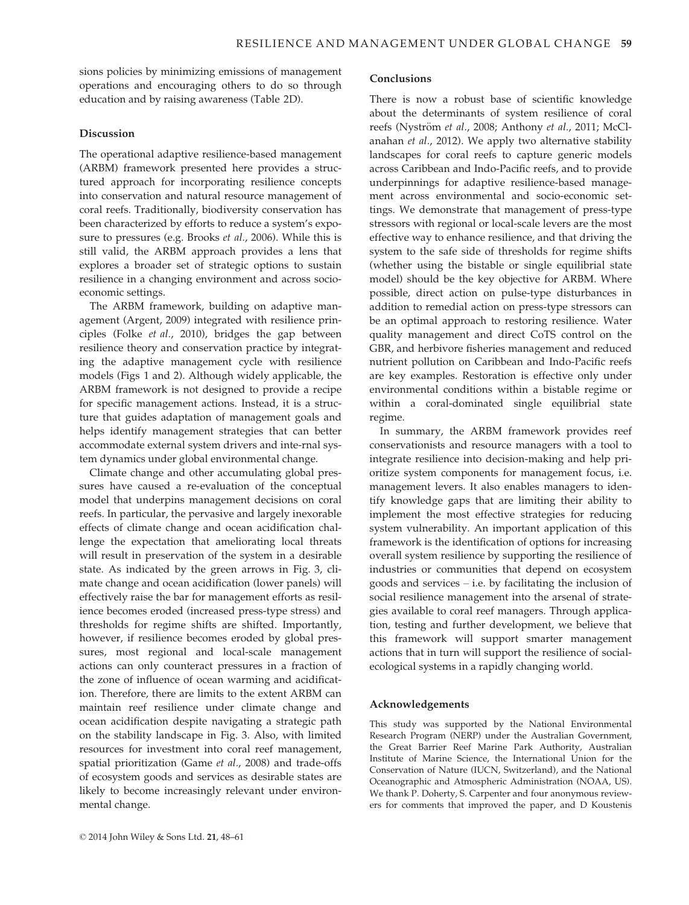sions policies by minimizing emissions of management operations and encouraging others to do so through education and by raising awareness (Table 2D).

#### Discussion

The operational adaptive resilience-based management (ARBM) framework presented here provides a structured approach for incorporating resilience concepts into conservation and natural resource management of coral reefs. Traditionally, biodiversity conservation has been characterized by efforts to reduce a system's exposure to pressures (e.g. Brooks et al., 2006). While this is still valid, the ARBM approach provides a lens that explores a broader set of strategic options to sustain resilience in a changing environment and across socioeconomic settings.

The ARBM framework, building on adaptive management (Argent, 2009) integrated with resilience principles (Folke et al., 2010), bridges the gap between resilience theory and conservation practice by integrating the adaptive management cycle with resilience models (Figs 1 and 2). Although widely applicable, the ARBM framework is not designed to provide a recipe for specific management actions. Instead, it is a structure that guides adaptation of management goals and helps identify management strategies that can better accommodate external system drivers and inte-rnal system dynamics under global environmental change.

Climate change and other accumulating global pressures have caused a re-evaluation of the conceptual model that underpins management decisions on coral reefs. In particular, the pervasive and largely inexorable effects of climate change and ocean acidification challenge the expectation that ameliorating local threats will result in preservation of the system in a desirable state. As indicated by the green arrows in Fig. 3, climate change and ocean acidification (lower panels) will effectively raise the bar for management efforts as resilience becomes eroded (increased press-type stress) and thresholds for regime shifts are shifted. Importantly, however, if resilience becomes eroded by global pressures, most regional and local-scale management actions can only counteract pressures in a fraction of the zone of influence of ocean warming and acidification. Therefore, there are limits to the extent ARBM can maintain reef resilience under climate change and ocean acidification despite navigating a strategic path on the stability landscape in Fig. 3. Also, with limited resources for investment into coral reef management, spatial prioritization (Game et al., 2008) and trade-offs of ecosystem goods and services as desirable states are likely to become increasingly relevant under environmental change.

#### Conclusions

There is now a robust base of scientific knowledge about the determinants of system resilience of coral reefs (Nyström et al., 2008; Anthony et al., 2011; McClanahan et al., 2012). We apply two alternative stability landscapes for coral reefs to capture generic models across Caribbean and Indo-Pacific reefs, and to provide underpinnings for adaptive resilience-based management across environmental and socio-economic settings. We demonstrate that management of press-type stressors with regional or local-scale levers are the most effective way to enhance resilience, and that driving the system to the safe side of thresholds for regime shifts (whether using the bistable or single equilibrial state model) should be the key objective for ARBM. Where possible, direct action on pulse-type disturbances in addition to remedial action on press-type stressors can be an optimal approach to restoring resilience. Water quality management and direct CoTS control on the GBR, and herbivore fisheries management and reduced nutrient pollution on Caribbean and Indo-Pacific reefs are key examples. Restoration is effective only under environmental conditions within a bistable regime or within a coral-dominated single equilibrial state regime.

In summary, the ARBM framework provides reef conservationists and resource managers with a tool to integrate resilience into decision-making and help prioritize system components for management focus, i.e. management levers. It also enables managers to identify knowledge gaps that are limiting their ability to implement the most effective strategies for reducing system vulnerability. An important application of this framework is the identification of options for increasing overall system resilience by supporting the resilience of industries or communities that depend on ecosystem goods and services – i.e. by facilitating the inclusion of social resilience management into the arsenal of strategies available to coral reef managers. Through application, testing and further development, we believe that this framework will support smarter management actions that in turn will support the resilience of socialecological systems in a rapidly changing world.

#### Acknowledgements

This study was supported by the National Environmental Research Program (NERP) under the Australian Government, the Great Barrier Reef Marine Park Authority, Australian Institute of Marine Science, the International Union for the Conservation of Nature (IUCN, Switzerland), and the National Oceanographic and Atmospheric Administration (NOAA, US). We thank P. Doherty, S. Carpenter and four anonymous reviewers for comments that improved the paper, and D Koustenis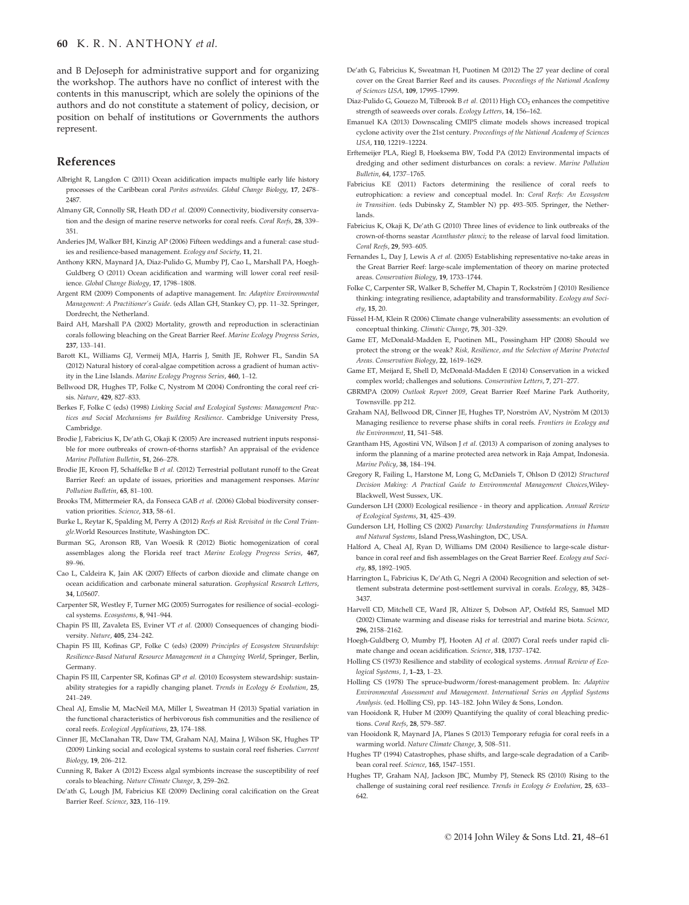and B DeJoseph for administrative support and for organizing the workshop. The authors have no conflict of interest with the contents in this manuscript, which are solely the opinions of the authors and do not constitute a statement of policy, decision, or position on behalf of institutions or Governments the authors represent.

#### References

- Albright R, Langdon C (2011) Ocean acidification impacts multiple early life history processes of the Caribbean coral Porites astreoides. Global Change Biology, 17, 2478– 2487.
- Almany GR, Connolly SR, Heath DD et al. (2009) Connectivity, biodiversity conservation and the design of marine reserve networks for coral reefs. Coral Reefs, 28, 339– 351.
- Anderies JM, Walker BH, Kinzig AP (2006) Fifteen weddings and a funeral: case studies and resilience-based management. Ecology and Society, 11, 21.
- Anthony KRN, Maynard JA, Diaz-Pulido G, Mumby PJ, Cao L, Marshall PA, Hoegh-Guldberg O (2011) Ocean acidification and warming will lower coral reef resilience. Global Change Biology, 17, 1798–1808.
- Argent RM (2009) Components of adaptive management. In: Adaptive Environmental Management: A Practitioner's Guide. (eds Allan GH, Stankey C), pp. 11–32. Springer, Dordrecht, the Netherland.
- Baird AH, Marshall PA (2002) Mortality, growth and reproduction in scleractinian corals following bleaching on the Great Barrier Reef. Marine Ecology Progress Series, 237, 133–141.
- Barott KL, Williams GJ, Vermeij MJA, Harris J, Smith JE, Rohwer FL, Sandin SA (2012) Natural history of coral-algae competition across a gradient of human activity in the Line Islands. Marine Ecology Progress Series, 460, 1–12.
- Bellwood DR, Hughes TP, Folke C, Nystrom M (2004) Confronting the coral reef crisis. Nature, 429, 827–833.
- Berkes F, Folke C (eds) (1998) Linking Social and Ecological Systems: Management Practices and Social Mechanisms for Building Resilience. Cambridge University Press, Cambridge.
- Brodie J, Fabricius K, De'ath G, Okaji K (2005) Are increased nutrient inputs responsible for more outbreaks of crown-of-thorns starfish? An appraisal of the evidence Marine Pollution Bulletin, 51, 266–278.
- Brodie JE, Kroon FJ, Schaffelke B et al. (2012) Terrestrial pollutant runoff to the Great Barrier Reef: an update of issues, priorities and management responses. Marine Pollution Bulletin, 65, 81–100.
- Brooks TM, Mittermeier RA, da Fonseca GAB et al. (2006) Global biodiversity conservation priorities. Science, 313, 58–61.
- Burke L, Reytar K, Spalding M, Perry A (2012) Reefs at Risk Revisited in the Coral Triangle.World Resources Institute, Washington DC.
- Burman SG, Aronson RB, Van Woesik R (2012) Biotic homogenization of coral assemblages along the Florida reef tract Marine Ecology Progress Series, 467, 89–96.
- Cao L, Caldeira K, Jain AK (2007) Effects of carbon dioxide and climate change on ocean acidification and carbonate mineral saturation. Geophysical Research Letters, 34, L05607.
- Carpenter SR, Westley F, Turner MG (2005) Surrogates for resilience of social–ecological systems. Ecosystems, 8, 941–944.
- Chapin FS III, Zavaleta ES, Eviner VT et al. (2000) Consequences of changing biodiversity. Nature, 405, 234–242.
- Chapin FS III, Kofinas GP, Folke C (eds) (2009) Principles of Ecosystem Stewardship: Resilience-Based Natural Resource Management in a Changing World, Springer, Berlin, Germany.
- Chapin FS III, Carpenter SR, Kofinas GP et al. (2010) Ecosystem stewardship: sustainability strategies for a rapidly changing planet. Trends in Ecology & Evolution,  $25$ , 241–249.
- Cheal AJ, Emslie M, MacNeil MA, Miller I, Sweatman H (2013) Spatial variation in the functional characteristics of herbivorous fish communities and the resilience of coral reefs. Ecological Applications, 23, 174–188.
- Cinner JE, McClanahan TR, Daw TM, Graham NAJ, Maina J, Wilson SK, Hughes TP (2009) Linking social and ecological systems to sustain coral reef fisheries. Current Biology, 19, 206–212.
- Cunning R, Baker A (2012) Excess algal symbionts increase the susceptibility of reef corals to bleaching. Nature Climate Change, 3, 259–262.
- De'ath G, Lough JM, Fabricius KE (2009) Declining coral calcification on the Great Barrier Reef. Science, 323, 116–119.
- De'ath G, Fabricius K, Sweatman H, Puotinen M (2012) The 27 year decline of coral cover on the Great Barrier Reef and its causes. Proceedings of the National Academy of Sciences USA, 109, 17995–17999.
- Diaz-Pulido G, Gouezo M, Tilbrook B et al. (2011) High CO<sub>2</sub> enhances the competitive strength of seaweeds over corals. Ecology Letters, 14, 156–162.
- Emanuel KA (2013) Downscaling CMIP5 climate models shows increased tropical cyclone activity over the 21st century. Proceedings of the National Academy of Sciences USA, 110, 12219–12224.
- Erftemeijer PLA, Riegl B, Hoeksema BW, Todd PA (2012) Environmental impacts of dredging and other sediment disturbances on corals: a review. Marine Pollution Bulletin, 64, 1737–1765.
- Fabricius KE (2011) Factors determining the resilience of coral reefs to eutrophication: a review and conceptual model. In: Coral Reefs: An Ecosystem in Transition. (eds Dubinsky Z, Stambler N) pp. 493–505. Springer, the Netherlands.
- Fabricius K, Okaji K, De'ath G (2010) Three lines of evidence to link outbreaks of the crown-of-thorns seastar Acanthaster planci; to the release of larval food limitation. Coral Reefs, 29, 593–605.
- Fernandes L, Day J, Lewis A et al. (2005) Establishing representative no-take areas in the Great Barrier Reef: large-scale implementation of theory on marine protected areas. Conservation Biology, 19, 1733–1744.
- Folke C, Carpenter SR, Walker B, Scheffer M, Chapin T, Rockström J (2010) Resilience thinking: integrating resilience, adaptability and transformability. Ecology and Society, 15, 20.
- Füssel H-M, Klein R (2006) Climate change vulnerability assessments: an evolution of conceptual thinking. Climatic Change, 75, 301–329.
- Game ET, McDonald-Madden E, Puotinen ML, Possingham HP (2008) Should we protect the strong or the weak? Risk, Resilience, and the Selection of Marine Protected Areas. Conservation Biology, 22, 1619-1629.
- Game ET, Meijard E, Shell D, McDonald-Madden E (2014) Conservation in a wicked complex world; challenges and solutions. Conservation Letters, 7, 271–277.
- GBRMPA (2009) Outlook Report 2009, Great Barrier Reef Marine Park Authority, Townsville. pp 212.
- Graham NAJ, Bellwood DR, Cinner JE, Hughes TP, Norström AV, Nyström M (2013) Managing resilience to reverse phase shifts in coral reefs. Frontiers in Ecology and the Environment, 11, 541–548.
- Grantham HS, Agostini VN, Wilson J et al. (2013) A comparison of zoning analyses to inform the planning of a marine protected area network in Raja Ampat, Indonesia. Marine Policy, 38, 184–194.
- Gregory R, Failing L, Harstone M, Long G, McDaniels T, Ohlson D (2012) Structured Decision Making: A Practical Guide to Environmental Management Choices,Wiley-Blackwell, West Sussex, UK.
- Gunderson LH (2000) Ecological resilience in theory and application. Annual Review of Ecological Systems, 31, 425–439.
- Gunderson LH, Holling CS (2002) Panarchy: Understanding Transformations in Human and Natural Systems, Island Press,Washington, DC, USA.
- Halford A, Cheal AJ, Ryan D, Williams DM (2004) Resilience to large-scale disturbance in coral reef and fish assemblages on the Great Barrier Reef. Ecology and Society, 85, 1892–1905.
- Harrington L, Fabricius K, De'Ath G, Negri A (2004) Recognition and selection of settlement substrata determine post-settlement survival in corals. Ecology, 85, 3428– 3437.
- Harvell CD, Mitchell CE, Ward JR, Altizer S, Dobson AP, Ostfeld RS, Samuel MD (2002) Climate warming and disease risks for terrestrial and marine biota. Science, 296, 2158–2162.
- Hoegh-Guldberg O, Mumby PL Hooten AJ et al. (2007) Coral reefs under rapid climate change and ocean acidification. Science, 318, 1737–1742.
- Holling CS (1973) Resilience and stability of ecological systems. Annual Review of Ecological Systems, 1, 1–23, 1–23.
- Holling CS (1978) The spruce-budworm/forest-management problem. In: Adaptive Environmental Assessment and Management. International Series on Applied Systems Analysis. (ed. Holling CS), pp. 143–182. John Wiley & Sons, London.
- van Hooidonk R, Huber M (2009) Quantifying the quality of coral bleaching predictions. Coral Reefs, 28, 579–587.
- van Hooidonk R, Maynard JA, Planes S (2013) Temporary refugia for coral reefs in a warming world. Nature Climate Change, 3, 508–511.
- Hughes TP (1994) Catastrophes, phase shifts, and large-scale degradation of a Caribbean coral reef. Science, 165, 1547–1551.
- Hughes TP, Graham NAJ, Jackson JBC, Mumby PJ, Steneck RS (2010) Rising to the challenge of sustaining coral reef resilience. Trends in Ecology & Evolution, 25, 633– 642.